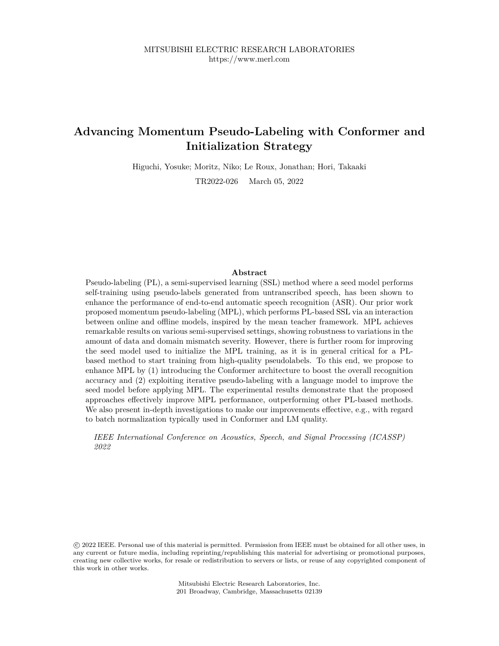# **Advancing Momentum Pseudo-Labeling with Conformer and Initialization Strategy**

Higuchi, Yosuke; Moritz, Niko; Le Roux, Jonathan; Hori, Takaaki

TR2022-026 March 05, 2022

# **Abstract**

Pseudo-labeling (PL), a semi-supervised learning (SSL) method where a seed model performs self-training using pseudo-labels generated from untranscribed speech, has been shown to enhance the performance of end-to-end automatic speech recognition (ASR). Our prior work proposed momentum pseudo-labeling (MPL), which performs PL-based SSL via an interaction between online and offline models, inspired by the mean teacher framework. MPL achieves remarkable results on various semi-supervised settings, showing robustness to variations in the amount of data and domain mismatch severity. However, there is further room for improving the seed model used to initialize the MPL training, as it is in general critical for a PLbased method to start training from high-quality pseudolabels. To this end, we propose to enhance MPL by (1) introducing the Conformer architecture to boost the overall recognition accuracy and (2) exploiting iterative pseudo-labeling with a language model to improve the seed model before applying MPL. The experimental results demonstrate that the proposed approaches effectively improve MPL performance, outperforming other PL-based methods. We also present in-depth investigations to make our improvements effective, e.g., with regard to batch normalization typically used in Conformer and LM quality.

*IEEE International Conference on Acoustics, Speech, and Signal Processing (ICASSP) 2022*

 c 2022 IEEE. Personal use of this material is permitted. Permission from IEEE must be obtained for all other uses, in any current or future media, including reprinting/republishing this material for advertising or promotional purposes, creating new collective works, for resale or redistribution to servers or lists, or reuse of any copyrighted component of this work in other works.

> Mitsubishi Electric Research Laboratories, Inc. 201 Broadway, Cambridge, Massachusetts 02139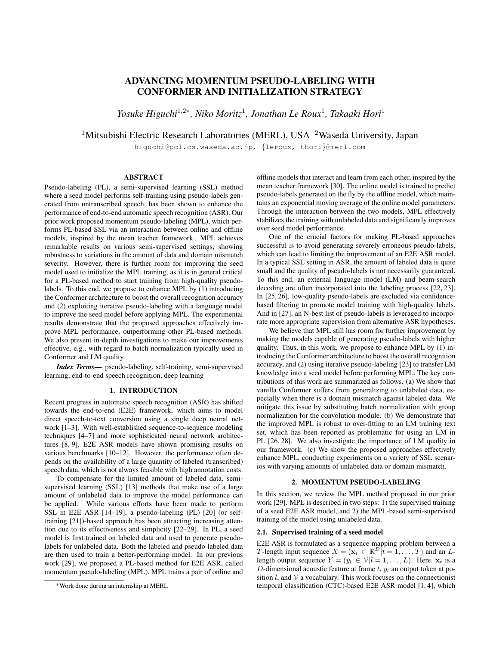# ADVANCING MOMENTUM PSEUDO-LABELING WITH CONFORMER AND INITIALIZATION STRATEGY

*Yosuke Higuchi*<sup>1,2\*</sup>, *Niko Moritz*<sup>1</sup>, Jonathan Le Roux<sup>1</sup>, Takaaki Hori<sup>1</sup>

<sup>1</sup>Mitsubishi Electric Research Laboratories (MERL), USA <sup>2</sup>Waseda University, Japan

higuchi@pcl.cs.waseda.ac.jp, {leroux, thori}@merl.com

# ABSTRACT

Pseudo-labeling (PL), a semi-supervised learning (SSL) method where a seed model performs self-training using pseudo-labels generated from untranscribed speech, has been shown to enhance the performance of end-to-end automatic speech recognition (ASR). Our prior work proposed momentum pseudo-labeling (MPL), which performs PL-based SSL via an interaction between online and offline models, inspired by the mean teacher framework. MPL achieves remarkable results on various semi-supervised settings, showing robustness to variations in the amount of data and domain mismatch severity. However, there is further room for improving the seed model used to initialize the MPL training, as it is in general critical for a PL-based method to start training from high-quality pseudolabels. To this end, we propose to enhance MPL by (1) introducing the Conformer architecture to boost the overall recognition accuracy and (2) exploiting iterative pseudo-labeling with a language model to improve the seed model before applying MPL. The experimental results demonstrate that the proposed approaches effectively improve MPL performance, outperforming other PL-based methods. We also present in-depth investigations to make our improvements effective, e.g., with regard to batch normalization typically used in Conformer and LM quality.

*Index Terms*— pseudo-labeling, self-training, semi-supervised learning, end-to-end speech recognition, deep learning

#### 1. INTRODUCTION

Recent progress in automatic speech recognition (ASR) has shifted towards the end-to-end (E2E) framework, which aims to model direct speech-to-text conversion using a single deep neural network [1–3]. With well-established sequence-to-sequence modeling techniques [4–7] and more sophisticated neural network architectures [8, 9], E2E ASR models have shown promising results on various benchmarks [10–12]. However, the performance often depends on the availability of a large quantity of labeled (transcribed) speech data, which is not always feasible with high annotation costs.

To compensate for the limited amount of labeled data, semisupervised learning (SSL) [13] methods that make use of a large amount of unlabeled data to improve the model performance can be applied. While various efforts have been made to perform SSL in E2E ASR [14–19], a pseudo-labeling (PL) [20] (or selftraining [21])-based approach has been attracting increasing attention due to its effectiveness and simplicity [22–29]. In PL, a seed model is first trained on labeled data and used to generate pseudolabels for unlabeled data. Both the labeled and pseudo-labeled data are then used to train a better-performing model. In our previous work [29], we proposed a PL-based method for E2E ASR, called momentum pseudo-labeling (MPL). MPL trains a pair of online and

offline models that interact and learn from each other, inspired by the mean teacher framework [30]. The online model is trained to predict pseudo-labels generated on the fly by the offline model, which maintains an exponential moving average of the online model parameters. Through the interaction between the two models, MPL effectively stabilizes the training with unlabeled data and significantly improves over seed model performance.

One of the crucial factors for making PL-based approaches successful is to avoid generating severely erroneous pseudo-labels, which can lead to limiting the improvement of an E2E ASR model. In a typical SSL setting in ASR, the amount of labeled data is quite small and the quality of pseudo-labels is not necessarily guaranteed. To this end, an external language model (LM) and beam-search decoding are often incorporated into the labeling process [22, 23]. In [25, 26], low-quality pseudo-labels are excluded via confidencebased filtering to promote model training with high-quality labels. And in [27], an N-best list of pseudo-labels is leveraged to incorporate more appropriate supervision from alternative ASR hypotheses.

We believe that MPL still has room for further improvement by making the models capable of generating pseudo-labels with higher quality. Thus, in this work, we propose to enhance MPL by (1) introducing the Conformer architecture to boost the overall recognition accuracy, and (2) using iterative pseudo-labeling [23] to transfer LM knowledge into a seed model before performing MPL. The key contributions of this work are summarized as follows. (a) We show that vanilla Conformer suffers from generalizing to unlabeled data, especially when there is a domain mismatch against labeled data. We mitigate this issue by substituting batch normalization with group normalization for the convolution module. (b) We demonstrate that the improved MPL is robust to over-fitting to an LM training text set, which has been reported as problematic for using an LM in PL [26, 28]. We also investigate the importance of LM quality in our framework. (c) We show the proposed approaches effectively enhance MPL, conducting experiments on a variety of SSL scenarios with varying amounts of unlabeled data or domain mismatch.

#### 2. MOMENTUM PSEUDO-LABELING

In this section, we review the MPL method proposed in our prior work [29]. MPL is described in two steps: 1) the supervised training of a seed E2E ASR model, and 2) the MPL-based semi-supervised training of the model using unlabeled data.

#### 2.1. Supervised training of a seed model

E2E ASR is formulated as a sequence mapping problem between a T-length input sequence  $X = (\mathbf{x}_t \in \mathbb{R}^D | t = 1, \dots, T)$  and an Llength output sequence  $Y = (y_l \in \mathcal{V} | l = 1, ..., L)$ . Here,  $\mathbf{x}_t$  is a D-dimensional acoustic feature at frame  $t$ ,  $y_l$  an output token at position  $l$ , and  $V$  a vocabulary. This work focuses on the connectionist temporal classification (CTC)-based E2E ASR model [1, 4], which

<sup>∗</sup>Work done during an internship at MERL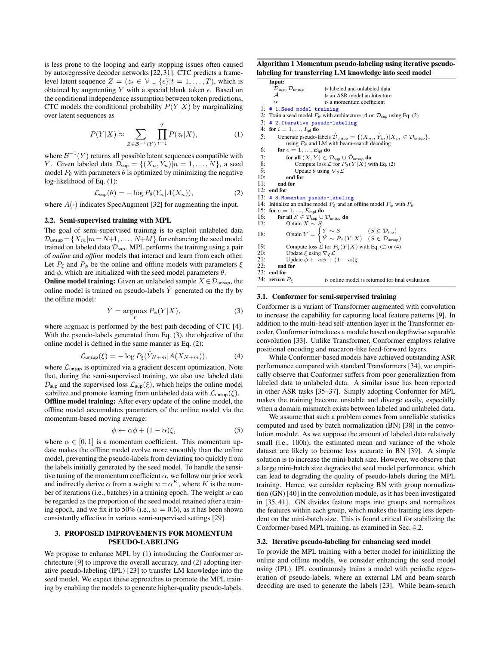is less prone to the looping and early stopping issues often caused by autoregressive decoder networks [22, 31]. CTC predicts a framelevel latent sequence  $Z = \{z_t \in V \cup \{\epsilon\} | t = 1, \ldots, T\}$ , which is obtained by augmenting Y with a special blank token  $\epsilon$ . Based on the conditional independence assumption between token predictions, CTC models the conditional probability  $P(Y|X)$  by marginalizing over latent sequences as

$$
P(Y|X) \approx \sum_{Z \in \mathcal{B}^{-1}(Y)} \prod_{t=1}^{T} P(z_t|X),
$$
 (1)

where  $\mathcal{B}^{-1}(Y)$  returns all possible latent sequences compatible with Y. Given labeled data  $\mathcal{D}_{\text{sup}} = \{(X_n, Y_n) | n = 1, \dots, N\}$ , a seed model  $P_{\theta}$  with parameters  $\theta$  is optimized by minimizing the negative log-likelihood of Eq. (1):

$$
\mathcal{L}_{\text{sup}}(\theta) = -\log P_{\theta}(Y_n | A(X_n)), \tag{2}
$$

where  $A(\cdot)$  indicates SpecAugment [32] for augmenting the input.

## 2.2. Semi-supervised training with MPL

The goal of semi-supervised training is to exploit unlabeled data  $\mathcal{D}_{\text{unsup}} = \{X_m | m = N+1, \ldots, N+M\}$  for enhancing the seed model trained on labeled data  $\mathcal{D}_{\text{sup}}$ . MPL performs the training using a pair of *online* and *offline* models that interact and learn from each other. Let  $P_{\xi}$  and  $P_{\phi}$  be the online and offline models with parameters  $\xi$ and  $\phi$ , which are initialized with the seed model parameters  $\theta$ .

**Online model training:** Given an unlabeled sample  $X \in \mathcal{D}_{\text{unsup}}$ , the online model is trained on pseudo-labels  $\hat{Y}$  generated on the fly by the offline model:

$$
\hat{Y} = \underset{Y}{\text{argmax}} P_{\phi}(Y|X),\tag{3}
$$

where argmax is performed by the best path decoding of CTC [4]. With the pseudo-labels generated from Eq. (3), the objective of the online model is defined in the same manner as Eq. (2):

$$
\mathcal{L}_{\text{unsup}}(\xi) = -\log P_{\xi}(\hat{Y}_{N+m}|A(X_{N+m})),\tag{4}
$$

where  $\mathcal{L}_{\text{unsup}}$  is optimized via a gradient descent optimization. Note that, during the semi-supervised training, we also use labeled data  $\mathcal{D}_{\text{sup}}$  and the supervised loss  $\mathcal{L}_{\text{sup}}(\xi)$ , which helps the online model stabilize and promote learning from unlabeled data with  $\mathcal{L}_{\text{unsup}}(\xi)$ .

Offline model training: After every update of the online model, the offline model accumulates parameters of the online model via the momentum-based moving average:

$$
\phi \leftarrow \alpha \phi + (1 - \alpha)\xi,\tag{5}
$$

where  $\alpha \in [0, 1]$  is a momentum coefficient. This momentum update makes the offline model evolve more smoothly than the online model, preventing the pseudo-labels from deviating too quickly from the labels initially generated by the seed model. To handle the sensitive tuning of the momentum coefficient  $\alpha$ , we follow our prior work and indirectly derive  $\alpha$  from a weight  $w = \alpha^{K}$ , where K is the number of iterations (i.e., batches) in a training epoch. The weight  $w$  can be regarded as the proportion of the seed model retained after a training epoch, and we fix it to 50% (i.e.,  $w = 0.5$ ), as it has been shown consistently effective in various semi-supervised settings [29].

#### 3. PROPOSED IMPROVEMENTS FOR MOMENTUM PSEUDO-LABELING

We propose to enhance MPL by (1) introducing the Conformer architecture [9] to improve the overall accuracy, and (2) adopting iterative pseudo-labeling (IPL) [23] to transfer LM knowledge into the seed model. We expect these approaches to promote the MPL training by enabling the models to generate higher-quality pseudo-labels.

Algorithm 1 Momentum pseudo-labeling using iterative pseudolabeling for transferring LM knowledge into seed model

|     | Input:                                                                      |                                                                                                                                                              |
|-----|-----------------------------------------------------------------------------|--------------------------------------------------------------------------------------------------------------------------------------------------------------|
|     | $\mathcal{D}_{\textsf{sup}}, \mathcal{D}_{\textsf{unsup}}$                  | $\triangleright$ labeled and unlabeled data                                                                                                                  |
|     | ${\cal A}$                                                                  | $\rhd$ an ASR model architecture                                                                                                                             |
|     | $\alpha$                                                                    | $\rhd$ a momentum coefficient                                                                                                                                |
| 1:  | # 1. Seed model training                                                    |                                                                                                                                                              |
| 2:  |                                                                             | Train a seed model $P_{\theta}$ with architecture A on $\mathcal{D}_{\text{sup}}$ using Eq. (2)                                                              |
| 3:  | # 2. Iterative pseudo-labeling                                              |                                                                                                                                                              |
| 4:  | for $i=1,\ldots,I_{\text{in}}$ do                                           |                                                                                                                                                              |
| 5:  |                                                                             | Generate pseudo-labels $\hat{\mathcal{D}}_{\text{unsup}} = \{ (X_m, \hat{Y}_m)   X_m \in \mathcal{D}_{\text{unsup}} \},$                                     |
|     |                                                                             | using $P_{\theta}$ and LM with beam-search decoding                                                                                                          |
| 6:  | for $e = 1, , E_{\text{in}}$ do                                             |                                                                                                                                                              |
| 7:  |                                                                             | for all $(X, Y) \in \mathcal{D}_{\text{sup}} \cup \mathcal{D}_{\text{unsup}}$ do                                                                             |
| 8:  |                                                                             | Compute loss $\mathcal L$ for $P_{\theta}(Y X)$ with Eq. (2)                                                                                                 |
| 9:  | Update $\theta$ using $\nabla_{\theta} \mathcal{L}$                         |                                                                                                                                                              |
| 10: | end for                                                                     |                                                                                                                                                              |
| 11: | end for                                                                     |                                                                                                                                                              |
| 12: | end for                                                                     |                                                                                                                                                              |
| 13: | # 3. Momentum pseudo-labeling                                               |                                                                                                                                                              |
|     |                                                                             | 14: Initialize an online model $P_{\xi}$ and an offline model $P_{\phi}$ with $P_{\theta}$                                                                   |
|     | 15: for $e = 1, , E_{mpl}$ do                                               |                                                                                                                                                              |
| 16: | for all $S \in \mathcal{D}_{\text{sup}} \cup \mathcal{D}_{\text{unsup}}$ do |                                                                                                                                                              |
| 17: | Obtain $X \sim S$                                                           |                                                                                                                                                              |
| 18: |                                                                             |                                                                                                                                                              |
|     |                                                                             | $\text{Obtain}\;Y = \begin{cases} Y \sim S & (S \in \mathcal{D}_{\text{sup}})\\ \hat{Y} \sim P_{\phi}(Y X) & (S \in \mathcal{D}_{\text{unsup}}) \end{cases}$ |
| 19: |                                                                             | Compute loss $\mathcal L$ for $P_{\xi}(Y X)$ with Eq. (2) or (4)                                                                                             |
| 20: | Update $\xi$ using $\nabla_{\xi} \mathcal{L}$                               |                                                                                                                                                              |
| 21: | Update $\phi \leftarrow \alpha \phi + (1 - \alpha)\xi$                      |                                                                                                                                                              |
| 22: | end for                                                                     |                                                                                                                                                              |
|     | 23: end for                                                                 |                                                                                                                                                              |
|     | 24: return $P_{\xi}$                                                        | $\triangleright$ online model is returned for final evaluation                                                                                               |

#### 3.1. Conformer for semi-supervised training

Conformer is a variant of Transformer augmented with convolution to increase the capability for capturing local feature patterns [9]. In addition to the multi-head self-attention layer in the Transformer encoder, Conformer introduces a module based on depthwise separable convolution [33]. Unlike Transformer, Conformer employs relative positional encoding and macaron-like feed-forward layers.

While Conformer-based models have achieved outstanding ASR performance compared with standard Transformers [34], we empirically observe that Conformer suffers from poor generalization from labeled data to unlabeled data. A similar issue has been reported in other ASR tasks [35–37]. Simply adopting Conformer for MPL makes the training become unstable and diverge easily, especially when a domain mismatch exists between labeled and unlabeled data.

We assume that such a problem comes from unreliable statistics computed and used by batch normalization (BN) [38] in the convolution module. As we suppose the amount of labeled data relatively small (i.e., 100h), the estimated mean and variance of the whole dataset are likely to become less accurate in BN [39]. A simple solution is to increase the mini-batch size. However, we observe that a large mini-batch size degrades the seed model performance, which can lead to degrading the quality of pseudo-labels during the MPL training. Hence, we consider replacing BN with group normalization (GN) [40] in the convolution module, as it has been investigated in [35, 41]. GN divides feature maps into groups and normalizes the features within each group, which makes the training less dependent on the mini-batch size. This is found critical for stabilizing the Conformer-based MPL training, as examined in Sec. 4.2.

#### 3.2. Iterative pseudo-labeling for enhancing seed model

To provide the MPL training with a better model for initializing the online and offline models, we consider enhancing the seed model using (IPL). IPL continuously trains a model with periodic regeneration of pseudo-labels, where an external LM and beam-search decoding are used to generate the labels [23]. While beam-search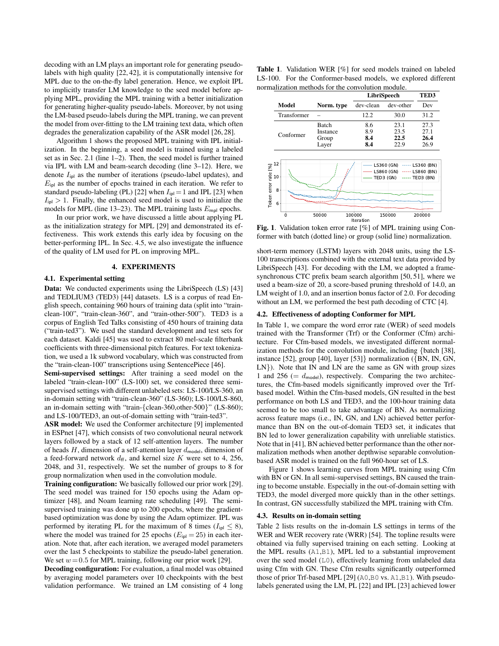decoding with an LM plays an important role for generating pseudolabels with high quality [22, 42], it is computationally intensive for MPL due to the on-the-fly label generation. Hence, we exploit IPL to implicitly transfer LM knowledge to the seed model before applying MPL, providing the MPL training with a better initialization for generating higher-quality pseudo-labels. Moreover, by not using the LM-based pseudo-labels during the MPL traning, we can prevent the model from over-fitting to the LM training text data, which often degrades the generalization capability of the ASR model [26, 28].

Algorithm 1 shows the proposed MPL training with IPL initialization. In the beginning, a seed model is trained using a labeled set as in Sec. 2.1 (line 1–2). Then, the seed model is further trained via IPL with LM and beam-search decoding (line 3–12). Here, we denote  $I_{\text{ipl}}$  as the number of iterations (pseudo-label updates), and  $E_{\text{ipl}}$  as the number of epochs trained in each iteration. We refer to standard pseudo-labeling (PL) [22] when  $I_{\text{ipl}} = 1$  and IPL [23] when  $I_{\text{in}} > 1$ . Finally, the enhanced seed model is used to initialize the models for MPL (line 13–23). The MPL training lasts  $E_{\text{mpl}}$  epochs.

In our prior work, we have discussed a little about applying PL as the initialization strategy for MPL [29] and demonstrated its effectiveness. This work extends this early idea by focusing on the better-performing IPL. In Sec. 4.5, we also investigate the influence of the quality of LM used for PL on improving MPL.

#### 4. EXPERIMENTS

#### 4.1. Experimental setting

Data: We conducted experiments using the LibriSpeech (LS) [43] and TEDLIUM3 (TED3) [44] datasets. LS is a corpus of read English speech, containing 960 hours of training data (split into "trainclean-100", "train-clean-360", and "train-other-500"). TED3 is a corpus of English Ted Talks consisting of 450 hours of training data ("train-ted3"). We used the standard development and test sets for each dataset. Kaldi [45] was used to extract 80 mel-scale filterbank coefficients with three-dimensional pitch features. For text tokenization, we used a 1k subword vocabulary, which was constructed from the "train-clean-100" transcriptions using SentencePiece [46].

Semi-supervised settings: After training a seed model on the labeled "train-clean-100" (LS-100) set, we considered three semisupervised settings with different unlabeled sets: LS-100/LS-360, an in-domain setting with "train-clean-360" (LS-360); LS-100/LS-860, an in-domain setting with "train-{clean-360,other-500}" (LS-860); and LS-100/TED3, an out-of-domain setting with "train-ted3".

ASR model: We used the Conformer architecture [9] implemented in ESPnet [47], which consists of two convolutional neural network layers followed by a stack of 12 self-attention layers. The number of heads H, dimension of a self-attention layer  $d_{\text{model}}$ , dimension of a feed-forward network  $d_{\text{ff}}$ , and kernel size K were set to 4, 256, 2048, and 31, respectively. We set the number of groups to 8 for group normalization when used in the convolution module.

Training configuration: We basically followed our prior work [29]. The seed model was trained for 150 epochs using the Adam optimizer [48], and Noam learning rate scheduling [49]. The semisupervised training was done up to 200 epochs, where the gradientbased optimization was done by using the Adam optimizer. IPL was performed by iterating PL for the maximum of 8 times ( $I_{\text{ipl}} \leq 8$ ), where the model was trained for 25 epochs ( $E_{\text{ipl}} = 25$ ) in each iteration. Note that, after each iteration, we averaged model parameters over the last 5 checkpoints to stabilize the pseudo-label generation. We set  $w = 0.5$  for MPL training, following our prior work [29].

Decoding configuration: For evaluation, a final model was obtained by averaging model parameters over 10 checkpoints with the best validation performance. We trained an LM consisting of 4 long

Table 1. Validation WER [%] for seed models trained on labeled LS-100. For the Conformer-based models, we explored different normalization methods for the convolution module.

|                      |                    |                                            | LibriSpeech              | TED3                                           |                                                   |  |
|----------------------|--------------------|--------------------------------------------|--------------------------|------------------------------------------------|---------------------------------------------------|--|
|                      | Model              | Norm. type                                 | dev-clean                | dev-other                                      | Dev                                               |  |
|                      | Transformer        |                                            | 12.2                     | 30.0                                           | 31.2                                              |  |
|                      | Conformer          | <b>Batch</b><br>Instance<br>Group<br>Layer | 8.6<br>8.9<br>8.4<br>8.4 | 23.1<br>23.5<br>22.5<br>22.9                   | 27.3<br>27.1<br>26.4<br>26.9                      |  |
| Token error rate [%] | 12<br>10<br>8<br>6 |                                            |                          | LS360 (GN)<br>-----<br>LS860 (GN)<br>TED3 (GN) | LS360 (BN)<br>----- LS860 (BN)<br>----- TED3 (BN) |  |
|                      | Ō                  | 50000                                      | 100000<br>Iteration      | 150000                                         | 200000                                            |  |

Fig. 1. Validation token error rate [%] of MPL training using Conformer with batch (dotted line) or group (solid line) normalization.

short-term memory (LSTM) layers with 2048 units, using the LS-100 transcriptions combined with the external text data provided by LibriSpeech [43]. For decoding with the LM, we adopted a framesynchronous CTC prefix beam search algorithm [50, 51], where we used a beam-size of 20, a score-based pruning threshold of 14.0, an LM weight of 1.0, and an insertion bonus factor of 2.0. For decoding without an LM, we performed the best path decoding of CTC [4].

#### 4.2. Effectiveness of adopting Conformer for MPL

In Table 1, we compare the word error rate (WER) of seed models trained with the Transformer (Trf) or the Conformer (Cfm) architecture. For Cfm-based models, we investigated different normalization methods for the convolution module, including {batch [38], instance [52], group [40], layer [53]} normalization ({BN, IN, GN, LN}). Note that IN and LN are the same as GN with group sizes 1 and 256 (=  $d_{\text{model}}$ ), respectively. Comparing the two architectures, the Cfm-based models significantly improved over the Trfbased model. Within the Cfm-based models, GN resulted in the best performance on both LS and TED3, and the 100-hour training data seemed to be too small to take advantage of BN. As normalizing across feature maps (i.e., IN, GN, and LN) achieved better performance than BN on the out-of-domain TED3 set, it indicates that BN led to lower generalization capability with unreliable statistics. Note that in [41], BN achieved better performance than the other normalization methods when another depthwise separable convolutionbased ASR model is trained on the full 960-hour set of LS.

Figure 1 shows learning curves from MPL training using Cfm with BN or GN. In all semi-supervised settings, BN caused the training to become unstable. Especially in the out-of-domain setting with TED3, the model diverged more quickly than in the other settings. In contrast, GN successfully stabilized the MPL training with Cfm.

#### 4.3. Results on in-domain setting

Table 2 lists results on the in-domain LS settings in terms of the WER and WER recovery rate (WRR) [54]. The topline results were obtained via fully supervised training on each setting. Looking at the MPL results (A1,B1), MPL led to a substantial improvement over the seed model (L0), effectively learning from unlabeled data using Cfm with GN. These Cfm results significantly outperformed those of prior Trf-based MPL [29] (A0,B0 vs. A1,B1). With pseudolabels generated using the LM, PL [22] and IPL [23] achieved lower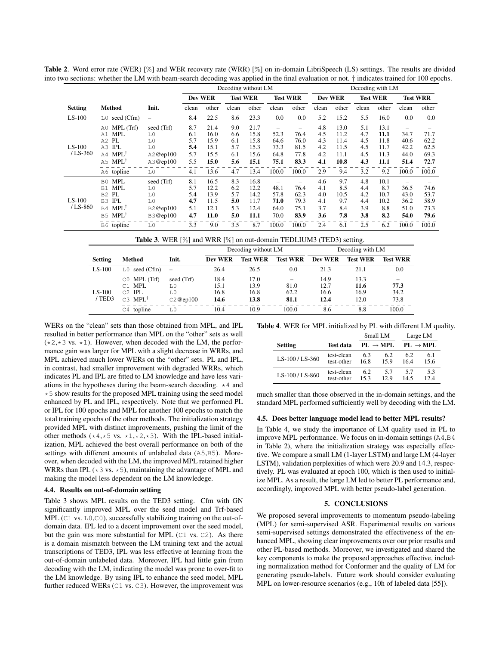|                       |                                                                                                                                                |                                                                        | Decoding without LM                           |                                                      |                                               |                                                      |                                               | Decoding with LM                                   |                                               |                                                     |                                               |                                                     |                                                    |                                               |
|-----------------------|------------------------------------------------------------------------------------------------------------------------------------------------|------------------------------------------------------------------------|-----------------------------------------------|------------------------------------------------------|-----------------------------------------------|------------------------------------------------------|-----------------------------------------------|----------------------------------------------------|-----------------------------------------------|-----------------------------------------------------|-----------------------------------------------|-----------------------------------------------------|----------------------------------------------------|-----------------------------------------------|
|                       |                                                                                                                                                |                                                                        | Dev WER                                       |                                                      |                                               | <b>Test WER</b>                                      |                                               | <b>Test WRR</b>                                    | <b>Dev WER</b>                                |                                                     |                                               | <b>Test WER</b>                                     |                                                    | <b>Test WRR</b>                               |
| <b>Setting</b>        | <b>Method</b>                                                                                                                                  | Init.                                                                  | clean                                         | other                                                | clean                                         | other                                                | clean                                         | other                                              | clean                                         | other                                               | clean                                         | other                                               | clean                                              | other                                         |
| $LS-100$              | $L0$ seed (Cfm)                                                                                                                                | $\overline{\phantom{0}}$                                               | 8.4                                           | 22.5                                                 | 8.6                                           | 23.3                                                 | 0.0                                           | 0.0                                                | 5.2                                           | 15.2                                                | 5.5                                           | 16.0                                                | $0.0\,$                                            | 0.0                                           |
| $LS-100$<br>$/LS-360$ | A0 MPL (Trf)<br>MPL<br>A1<br>PL<br>A2<br><b>IPL</b><br>A3<br>$A4$ MPL <sup>†</sup><br>A5 MPL <sup>†</sup><br>A6 topline                        | seed (Trf)<br>L0<br>L <sub>0</sub><br>L0<br>A2@ep100<br>A3@ep100<br>L0 | 8.7<br>6.1<br>5.7<br>5.4<br>5.7<br>5.5<br>4.1 | 21.4<br>16.0<br>15.9<br>15.1<br>15.5<br>15.0<br>13.6 | 9.0<br>6.6<br>6.1<br>5.7<br>6.1<br>5.6<br>4.7 | 21.7<br>15.8<br>15.8<br>15.3<br>15.6<br>15.1<br>13.4 | 52.3<br>64.6<br>73.3<br>64.8<br>75.1<br>100.0 | -<br>76.4<br>76.0<br>81.5<br>77.8<br>83.3<br>100.0 | 4.8<br>4.5<br>4.3<br>4.2<br>4.2<br>4.1<br>2.9 | 13.0<br>11.2<br>11.4<br>11.5<br>11.1<br>10.8<br>9.4 | 5.1<br>4.7<br>4.5<br>4.5<br>4.5<br>4.3<br>3.2 | 13.1<br>11.1<br>11.8<br>11.7<br>11.3<br>11.1<br>9.2 | -<br>34.7<br>40.6<br>42.2<br>44.0<br>51.4<br>100.0 | 71.7<br>62.2<br>62.5<br>69.3<br>72.7<br>100.0 |
| $LS-100$<br>$/LS-860$ | MPL<br>B0<br><b>MPL</b><br>B1<br>PL<br>B2<br>IPL<br><b>B3</b><br>B <sub>4</sub> MPL <sup>†</sup><br>$MPL^{\dagger}$<br><b>B5</b><br>B6 topline | seed (Trf)<br>L0<br>L0<br>L0<br>B2@ep100<br>B3@ep100<br>L0             | 8.1<br>5.7<br>5.4<br>4.7<br>5.1<br>4.7<br>3.3 | 16.5<br>12.2<br>13.9<br>11.5<br>12.1<br>11.0<br>9.0  | 8.3<br>6.2<br>5.7<br>5.0<br>5.3<br>5.0<br>3.5 | 16.8<br>12.2<br>14.2<br>11.7<br>12.4<br>11.1<br>8.7  | 48.1<br>57.8<br>71.0<br>64.0<br>70.0<br>100.0 | 76.4<br>62.3<br>79.3<br>75.1<br>83.9<br>100.0      | 4.6<br>4.1<br>4.0<br>4.1<br>3.7<br>3.6<br>2.4 | 9.7<br>8.5<br>10.5<br>9.7<br>8.4<br>7.8<br>6.1      | 4.8<br>4.4<br>4.2<br>4.4<br>3.9<br>3.8<br>2.5 | 10.1<br>8.7<br>10.7<br>10.2<br>8.8<br>8.2<br>6.2    | 36.5<br>43.0<br>36.2<br>51.0<br>54.0<br>100.0      | 74.6<br>53.7<br>58.9<br>73.3<br>79.6<br>100.0 |

Table 2. Word error rate (WER) [%] and WER recovery rate (WRR) [%] on in-domain LibriSpeech (LS) settings. The results are divided into two sections: whether the LM with beam-search decoding was applied in the final evaluation or not. † indicates trained for 100 epochs.

| Method<br>$L0$ seed (Cfm)                                       | Init.<br>$\hspace{0.1mm}-\hspace{0.1mm}$ | Dev WER<br>26.4              | Test WER<br>26.5             | <b>Test WRR</b><br>0.0 | Dev WER<br>21.3              | <b>Test WER</b><br>21.1      | <b>Test WRR</b>               |
|-----------------------------------------------------------------|------------------------------------------|------------------------------|------------------------------|------------------------|------------------------------|------------------------------|-------------------------------|
|                                                                 |                                          |                              |                              |                        |                              |                              |                               |
|                                                                 |                                          |                              |                              |                        |                              |                              | 0.0                           |
| $CO$ MPL (Trf)<br>C1 MPL<br>$C2$ $IPL$<br>$C3$ MPL <sup>†</sup> | seed (Trf)<br>T.O<br>$T1$ O<br>C2@ep100  | 18.4<br>15.1<br>16.8<br>14.6 | 17.0<br>13.9<br>16.8<br>13.8 | 81.0<br>62.2<br>81.1   | 14.9<br>12.7<br>16.6<br>12.4 | 13.3<br>11.6<br>16.9<br>12.0 | 77.3<br>34.2<br>73.8<br>100.0 |
|                                                                 | $C4$ topline                             | L0                           | 10.4                         | 10.9                   | 100.0                        | 8.6                          | 8.8                           |

WERs on the "clean" sets than those obtained from MPL, and IPL resulted in better performance than MPL on the "other" sets as well  $(*2, *3$  vs.  $*1)$ . However, when decoded with the LM, the performance gain was larger for MPL with a slight decrease in WRRs, and MPL achieved much lower WERs on the "other" sets. PL and IPL, in contrast, had smaller improvement with degraded WRRs, which indicates PL and IPL are fitted to LM knowledge and have less variations in the hypotheses during the beam-search decoding.  $*4$  and \*5 show results for the proposed MPL training using the seed model enhanced by PL and IPL, respectively. Note that we performed PL or IPL for 100 epochs and MPL for another 100 epochs to match the total training epochs of the other methods. The initialization strategy provided MPL with distinct improvements, pushing the limit of the other methods ( $*4,*5$  vs.  $*1,*2,*3$ ). With the IPL-based initialization, MPL achieved the best overall performance on both of the settings with different amounts of unlabeled data (A5,B5). Moreover, when decoded with the LM, the improved MPL retained higher WRRs than IPL ( $*3$  vs.  $*5$ ), maintaining the advantage of MPL and making the model less dependent on the LM knowledege.

## 4.4. Results on out-of-domain setting

Table 3 shows MPL results on the TED3 setting. Cfm with GN significantly improved MPL over the seed model and Trf-based MPL (C1 vs. L0,C0), successfully stabilizing training on the out-ofdomain data. IPL led to a decent improvement over the seed model, but the gain was more substantial for MPL (C1 vs. C2). As there is a domain mismatch between the LM training text and the actual transcriptions of TED3, IPL was less effective at learning from the out-of-domain unlabeled data. Moreover, IPL had little gain from decoding with the LM, indicating the model was prone to over-fit to the LM knowledge. By using IPL to enhance the seed model, MPL further reduced WERs (C1 vs. C3). However, the improvement was

Table 4. WER for MPL initialized by PL with different LM quality.

|                |                  |      | Small LM             |     | Large LM             |  |  |
|----------------|------------------|------|----------------------|-----|----------------------|--|--|
| <b>Setting</b> | <b>Test data</b> |      | $PL \rightarrow MPL$ |     | $PL \rightarrow MPL$ |  |  |
| LS-100/LS-360  | test-clean       | 63   | 62                   | 62  | 6.1                  |  |  |
|                | test-other       | 16.8 | 159                  | 164 | 15.6                 |  |  |
| LS-100/LS-860  | test-clean       | 62   | 57                   | 57  | 5.3                  |  |  |
|                | test-other       | 153  | 129                  | 145 | 12.4                 |  |  |

much smaller than those observed in the in-domain settings, and the standard MPL performed sufficiently well by decoding with the LM.

#### 4.5. Does better language model lead to better MPL results?

In Table 4, we study the importance of LM quality used in PL to improve MPL performance. We focus on in-domain settings (A4,B4 in Table 2), where the initialization strategy was especially effective. We compare a small LM (1-layer LSTM) and large LM (4-layer LSTM), validation perplexities of which were 20.9 and 14.3, respectively. PL was evaluated at epoch 100, which is then used to initialize MPL. As a result, the large LM led to better PL performance and, accordingly, improved MPL with better pseudo-label generation.

# 5. CONCLUSIONS

We proposed several improvements to momentum pseudo-labeling (MPL) for semi-supervised ASR. Experimental results on various semi-supervised settings demonstrated the effectiveness of the enhanced MPL, showing clear improvements over our prior results and other PL-based methods. Moreover, we investigated and shared the key components to make the proposed approaches effective, including normalization method for Conformer and the quality of LM for generating pseudo-labels. Future work should consider evaluating MPL on lower-resource scenarios (e.g., 10h of labeled data [55]).